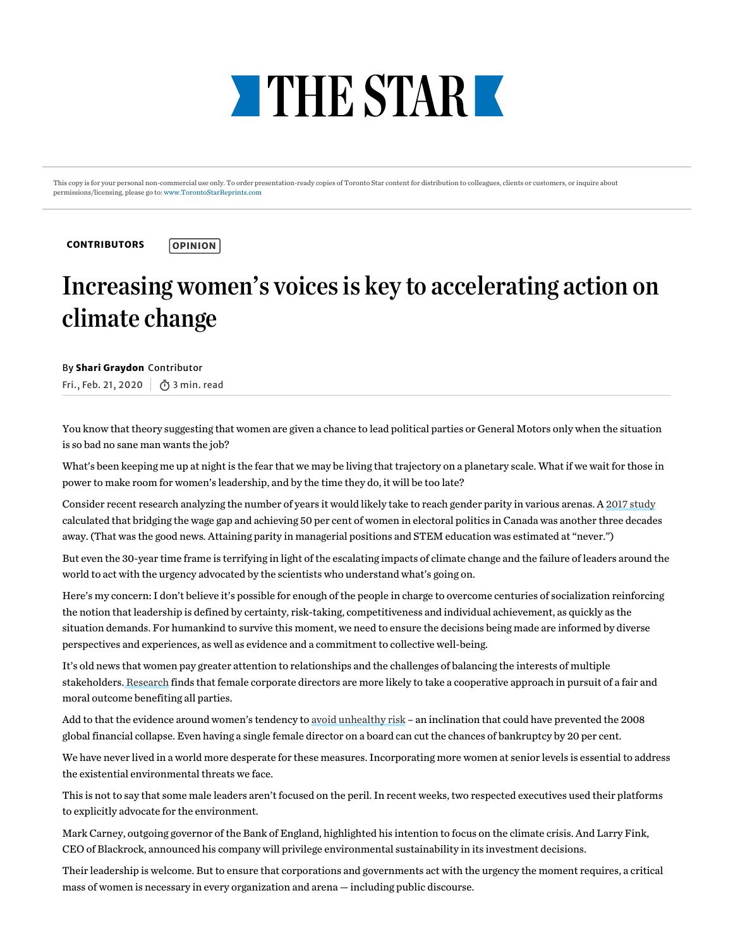

This copy is for your personal non-commercial use only. To order presentation-ready copies of Toronto Star content for distribution to colleagues, clients or customers, or inquire about permissions/licensing, please go to: [www.TorontoStarReprints.com](http://www.torontostarreprints.com/)

**[CONTRIBUTORS](https://www.thestar.com/opinion/contributors.html)** 

## **OPINION**

## Increasing women's voices is key to accelerating action on climate change

By Shari Graydon Contributor

Fri., Feb. 21, 2020 3 min. read

You know that theorysuggesting that women are given a chance to lead political parties or General Motors only when the situation is so bad no sane man wants the job?

What's been keeping me up at night is the fear that we may be living that trajectory on a planetaryscale. What if we wait for those in power to make room for women's leadership, and bythe time they do, it will be too late?

Consider recent research analyzing the number of years it would likely take to reach gender parity in various arenas. A 2017 [study](https://urldefense.proofpoint.com/v2/url?u=https-3A__www.mckinsey.com_-7E_media_McKinsey_Featured-2520Insights_Women-2520matter_The-2520power-2520of-2520parity-2520Advancing-2520womens-2520equality-2520in-2520Canada_MGI-2DThe-2Dpower-2Dof-2Dparity-2DAdvancing-2Dwomens-2Dequality-2Din-2DCanada-2DFull-2Dreport.ashx&d=DwMFaQ&c=KjisrLs2D0AXJmZjByAnZA&r=JbEdAVb4uUm3htrjJbeu7Frg-BdYfQZw11S7lk1HUts&m=c-nhz_D-BmkzRRDQhexj7gHA9bG2xYcC56CLb0CqjAU&s=gA5vtsvQ3BWxI2Q_egSKrdu4FswTwnVFhlrQ25DiQEo&e=) calculated that bridging the wage gap and achieving 50 per cent of women in electoral politics in Canada was another three decades away. (That was the good news*.* Attaining parityin managerial positions and STEM education was estimated at "never.")

But even the 30-year time frame is terrifying in light of the escalating impacts of climate change and the failure of leaders around the world to act with the urgencyadvocated bythe scientists who understand what's going on.

Here's myconcern: I don't believe it's possible for enough of the people in charge to overcome centuries of socialization reinforcing the notion that leadership is defined by certainty, risk-taking, competitiveness and individual achievement, as quickly as the situation demands. For humankind to survive this moment, we need to ensure the decisions being made are informed by diverse perspectives and experiences, as well as evidence and a commitment to collective well-being.

It's old news that women paygreater attention to relationships and the challenges of balancing the interests of multiple stakeholders. [Research](https://urldefense.proofpoint.com/v2/url?u=https-3A__pdfs.semanticscholar.org_a7db_04f990334daf8f0c47e587f61055b16518d0.pdf&d=DwMFaQ&c=KjisrLs2D0AXJmZjByAnZA&r=JbEdAVb4uUm3htrjJbeu7Frg-BdYfQZw11S7lk1HUts&m=c-nhz_D-BmkzRRDQhexj7gHA9bG2xYcC56CLb0CqjAU&s=xeAO2tEDEVaxy8qU7yGDrtQ9LB-HsNOlgX-WGe33U0Y&e=) finds that female corporate directors are more likelyto take a cooperative approach in pursuit of a fair and moral outcome benefiting all parties.

Add to that the evidence around women's tendencyto avoid [unhealthyrisk](https://urldefense.proofpoint.com/v2/url?u=https-3A__fortune.com_2016_01_05_wall-2Dstreet-2Dwomen-2Dfinancial-2Dcrisis_&d=DwMFaQ&c=KjisrLs2D0AXJmZjByAnZA&r=JbEdAVb4uUm3htrjJbeu7Frg-BdYfQZw11S7lk1HUts&m=c-nhz_D-BmkzRRDQhexj7gHA9bG2xYcC56CLb0CqjAU&s=F2G2ZeUDSkwxE1idGrFg5LKxC2dYqNuH-aP_raWUJgA&e=) – an inclination that could have prevented the 2008 global financial collapse. Even having a single female director on a board can cut the chances of bankruptcy by 20 per cent.

We have never lived in a world more desperate for these measures. Incorporating more women at senior levels is essential to address the existential environmental threats we face.

This is not to saythat some male leaders aren't focused on the peril. In recent weeks, two respected executives used their platforms to explicitlyadvocate for the environment.

Mark Carney, outgoing governor of the Bank of England, highlighted his intention to focus on the climate crisis. And Larry Fink, CEO of Blackrock, announced his company will privilege environmental sustainabilityin its investment decisions.

Their leadership is welcome. But to ensure that corporations and governments act with the urgencythe moment requires, a critical mass of women is necessary in every organization and arena - including public discourse.